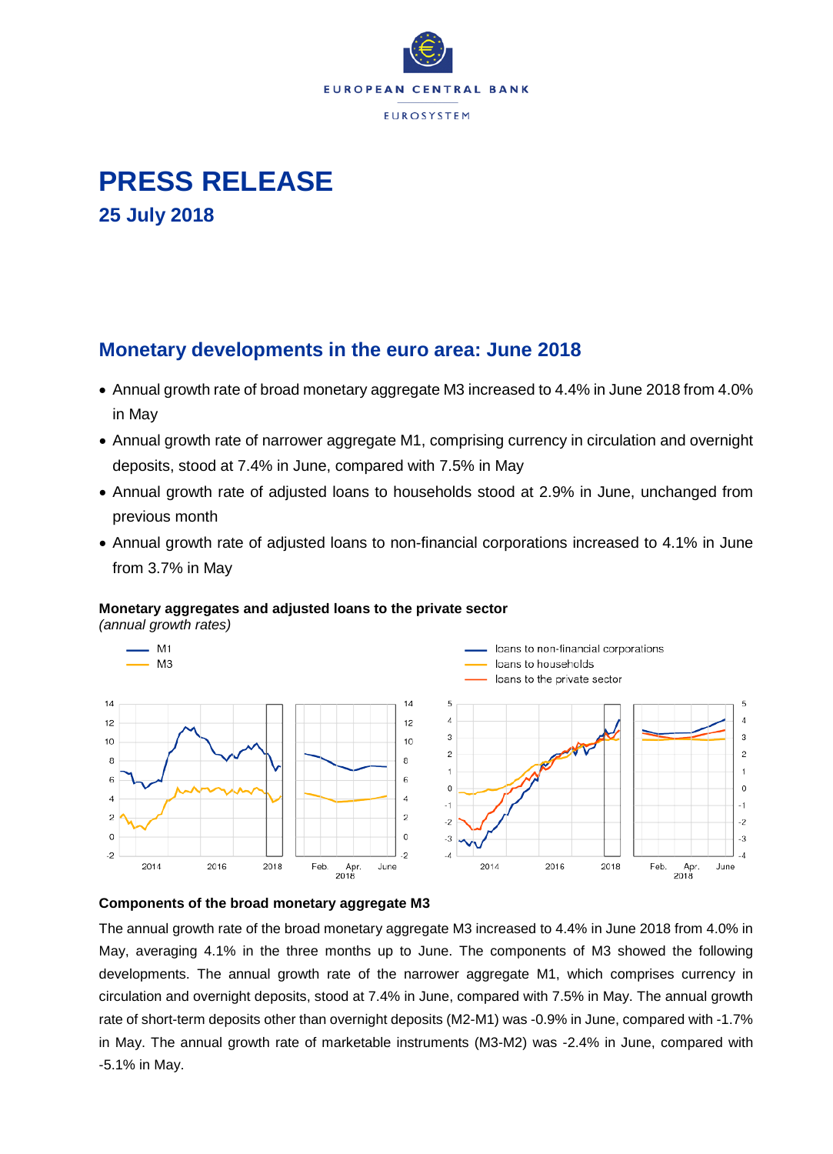



# **Monetary developments in the euro area: June 2018**

- Annual growth rate of broad monetary aggregate M3 increased to 4.4% in June 2018 from 4.0% in May
- Annual growth rate of narrower aggregate M1, comprising currency in circulation and overnight deposits, stood at 7.4% in June, compared with 7.5% in May
- Annual growth rate of adjusted loans to households stood at 2.9% in June, unchanged from previous month
- Annual growth rate of adjusted loans to non-financial corporations increased to 4.1% in June from 3.7% in May

## **Monetary aggregates and adjusted loans to the private sector**

*(annual growth rates)*



### **Components of the broad monetary aggregate M3**

The annual growth rate of the broad monetary aggregate M3 increased to 4.4% in June 2018 from 4.0% in May, averaging 4.1% in the three months up to June. The components of M3 showed the following developments. The annual growth rate of the narrower aggregate M1, which comprises currency in circulation and overnight deposits, stood at 7.4% in June, compared with 7.5% in May. The annual growth rate of short-term deposits other than overnight deposits (M2-M1) was -0.9% in June, compared with -1.7% in May. The annual growth rate of marketable instruments (M3-M2) was -2.4% in June, compared with -5.1% in May.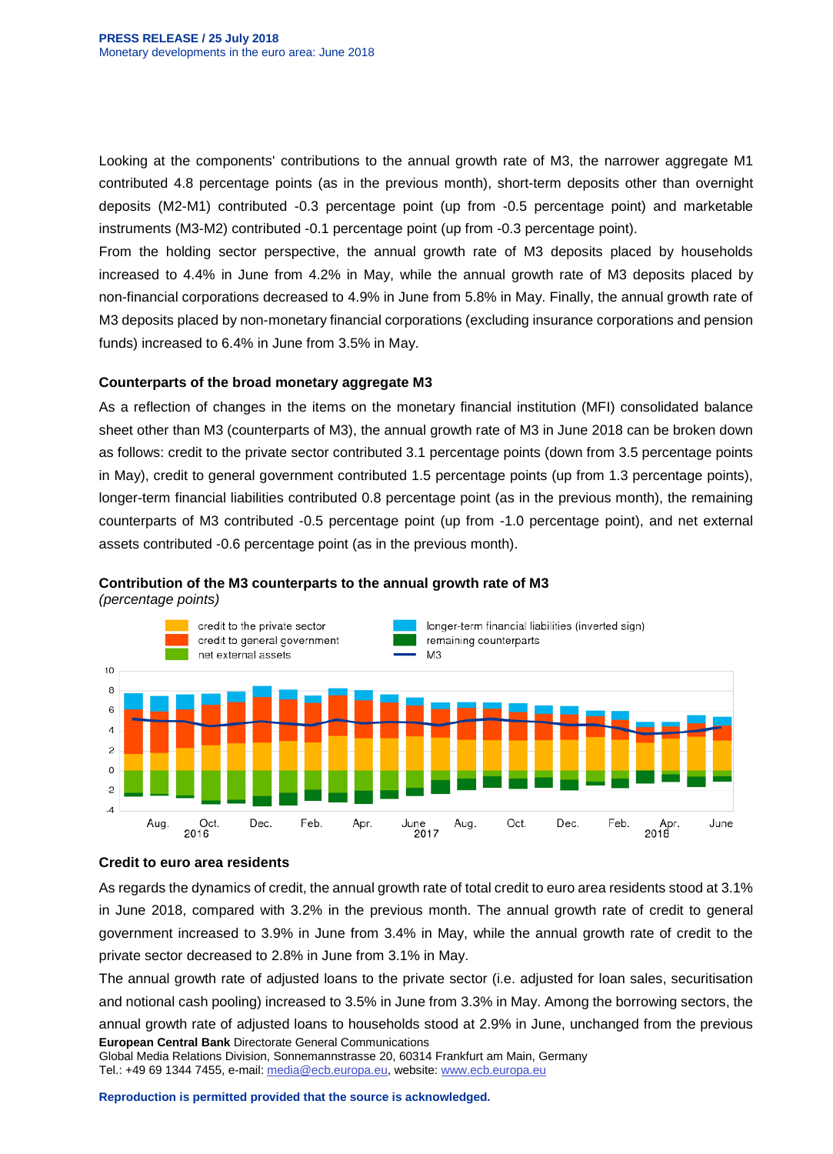Looking at the components' contributions to the annual growth rate of M3, the narrower aggregate M1 contributed 4.8 percentage points (as in the previous month), short-term deposits other than overnight deposits (M2-M1) contributed -0.3 percentage point (up from -0.5 percentage point) and marketable instruments (M3-M2) contributed -0.1 percentage point (up from -0.3 percentage point).

From the holding sector perspective, the annual growth rate of M3 deposits placed by households increased to 4.4% in June from 4.2% in May, while the annual growth rate of M3 deposits placed by non-financial corporations decreased to 4.9% in June from 5.8% in May. Finally, the annual growth rate of M3 deposits placed by non-monetary financial corporations (excluding insurance corporations and pension funds) increased to 6.4% in June from 3.5% in May.

### **Counterparts of the broad monetary aggregate M3**

As a reflection of changes in the items on the monetary financial institution (MFI) consolidated balance sheet other than M3 (counterparts of M3), the annual growth rate of M3 in June 2018 can be broken down as follows: credit to the private sector contributed 3.1 percentage points (down from 3.5 percentage points in May), credit to general government contributed 1.5 percentage points (up from 1.3 percentage points), longer-term financial liabilities contributed 0.8 percentage point (as in the previous month), the remaining counterparts of M3 contributed -0.5 percentage point (up from -1.0 percentage point), and net external assets contributed -0.6 percentage point (as in the previous month).



## **Contribution of the M3 counterparts to the annual growth rate of M3**

*(percentage points)*

### **Credit to euro area residents**

As regards the dynamics of credit, the annual growth rate of total credit to euro area residents stood at 3.1% in June 2018, compared with 3.2% in the previous month. The annual growth rate of credit to general government increased to 3.9% in June from 3.4% in May, while the annual growth rate of credit to the private sector decreased to 2.8% in June from 3.1% in May.

**European Central Bank** Directorate General Communications The annual growth rate of adjusted loans to the private sector (i.e. adjusted for loan sales, securitisation and notional cash pooling) increased to 3.5% in June from 3.3% in May. Among the borrowing sectors, the annual growth rate of adjusted loans to households stood at 2.9% in June, unchanged from the previous

Global Media Relations Division, Sonnemannstrasse 20, 60314 Frankfurt am Main, Germany Tel.: +49 69 1344 7455, e-mail: [media@ecb.europa.eu,](mailto:media@ecb.europa.eu) website[: www.ecb.europa.eu](http://www.ecb.europa.eu/)

**Reproduction is permitted provided that the source is acknowledged.**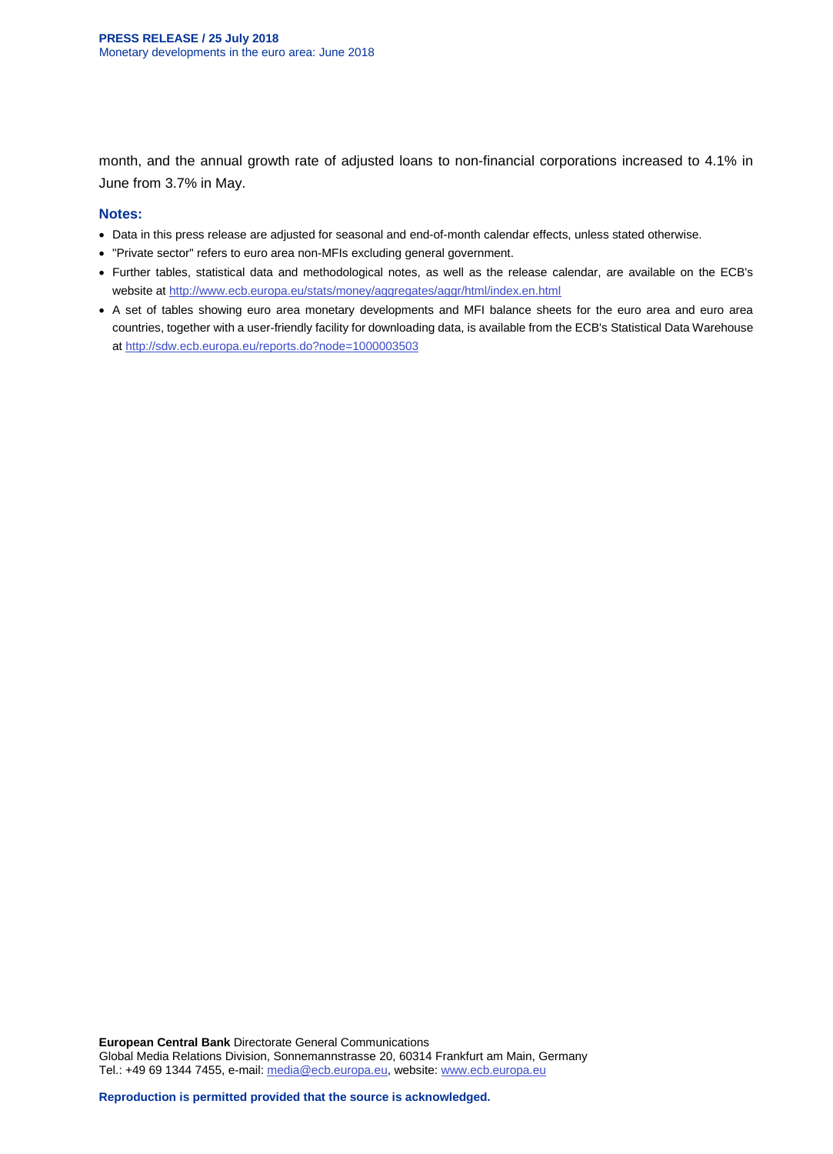month, and the annual growth rate of adjusted loans to non-financial corporations increased to 4.1% in June from 3.7% in May.

#### **Notes:**

- Data in this press release are adjusted for seasonal and end-of-month calendar effects, unless stated otherwise.
- "Private sector" refers to euro area non-MFIs excluding general government.
- Further tables, statistical data and methodological notes, as well as the release calendar, are available on the ECB's website at<http://www.ecb.europa.eu/stats/money/aggregates/aggr/html/index.en.html>
- A set of tables showing euro area monetary developments and MFI balance sheets for the euro area and euro area countries, together with a user-friendly facility for downloading data, is available from the ECB's Statistical Data Warehouse at<http://sdw.ecb.europa.eu/reports.do?node=1000003503>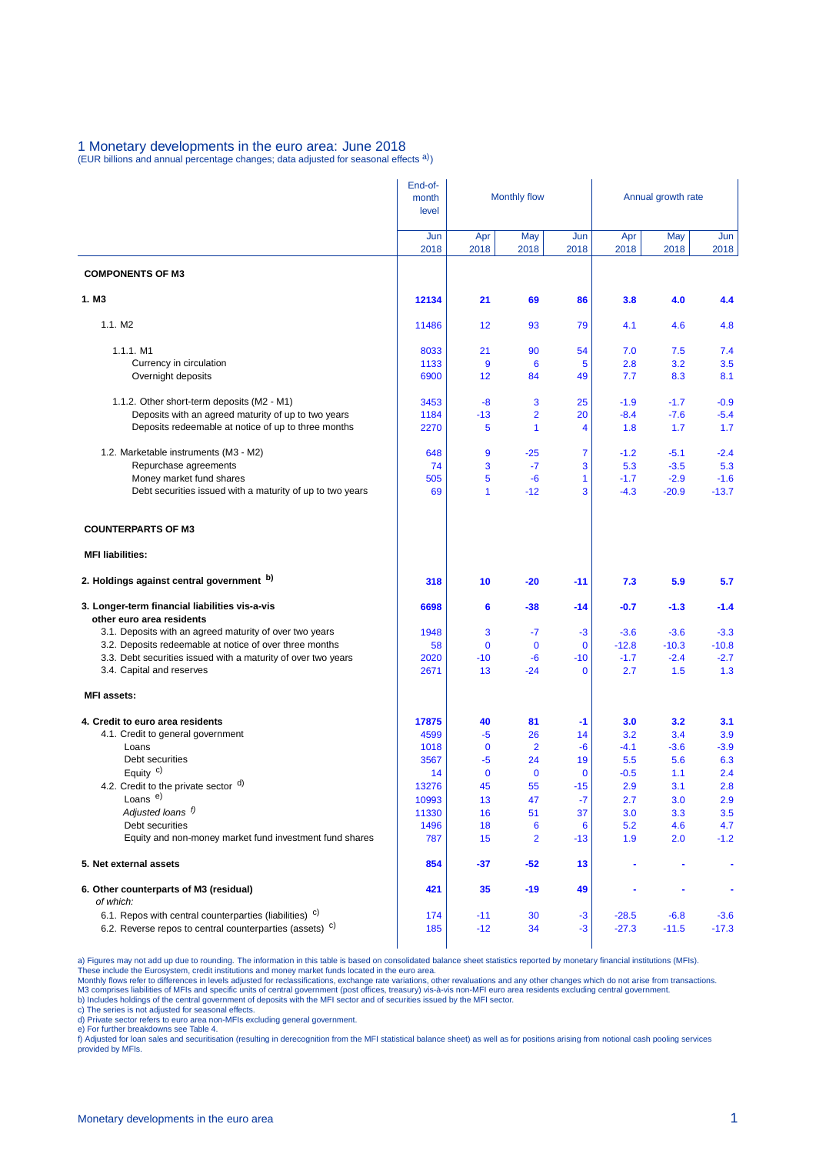# 1 Monetary developments in the euro area: June 2018

(EUR billions and annual percentage changes; data adjusted for seasonal effects a))

|                                                                                                                                           | End-of-<br>month | <b>Monthly flow</b> |                         |             | Annual growth rate |             |             |  |
|-------------------------------------------------------------------------------------------------------------------------------------------|------------------|---------------------|-------------------------|-------------|--------------------|-------------|-------------|--|
|                                                                                                                                           | level            |                     |                         |             |                    |             |             |  |
|                                                                                                                                           | Jun<br>2018      | Apr<br>2018         | May<br>2018             | Jun<br>2018 | Apr<br>2018        | May<br>2018 | Jun<br>2018 |  |
| <b>COMPONENTS OF M3</b>                                                                                                                   |                  |                     |                         |             |                    |             |             |  |
| 1. M <sub>3</sub>                                                                                                                         | 12134            | 21                  | 69                      | 86          | 3.8                | 4.0         | 4.4         |  |
| 1.1. M2                                                                                                                                   | 11486            | 12                  | 93                      | 79          | 4.1                | 4.6         | 4.8         |  |
| $1.1.1.$ M1                                                                                                                               | 8033             | 21                  | 90                      | 54          | 7.0                | 7.5         | 7.4         |  |
| Currency in circulation                                                                                                                   | 1133             | 9                   | 6                       | 5           | 2.8                | 3.2         | 3.5         |  |
| Overnight deposits                                                                                                                        | 6900             | 12                  | 84                      | 49          | 7.7                | 8.3         | 8.1         |  |
| 1.1.2. Other short-term deposits (M2 - M1)                                                                                                | 3453             | $-8$                | 3                       | 25          | $-1.9$             | $-1.7$      | $-0.9$      |  |
| Deposits with an agreed maturity of up to two years                                                                                       | 1184             | $-13$               | $\overline{\mathbf{2}}$ | 20          | $-8.4$             | $-7.6$      | $-5.4$      |  |
| Deposits redeemable at notice of up to three months                                                                                       | 2270             | 5                   | 1                       | 4           | 1.8                | 1.7         | 1.7         |  |
| 1.2. Marketable instruments (M3 - M2)                                                                                                     | 648              | 9                   | $-25$                   | 7           | $-1.2$             | $-5.1$      | $-2.4$      |  |
| Repurchase agreements                                                                                                                     | 74               | 3                   | $-7$                    | 3           | 5.3                | $-3.5$      | 5.3         |  |
| Money market fund shares                                                                                                                  | 505              | 5                   | $-6$                    | 1           | $-1.7$             | $-2.9$      | $-1.6$      |  |
| Debt securities issued with a maturity of up to two years                                                                                 | 69               | 1                   | $-12$                   | 3           | $-4.3$             | $-20.9$     | $-13.7$     |  |
| <b>COUNTERPARTS OF M3</b>                                                                                                                 |                  |                     |                         |             |                    |             |             |  |
| <b>MFI liabilities:</b>                                                                                                                   |                  |                     |                         |             |                    |             |             |  |
| 2. Holdings against central government b)                                                                                                 | 318              | 10                  | $-20$                   | $-11$       | 7.3                | 5.9         | 5.7         |  |
| 3. Longer-term financial liabilities vis-a-vis<br>other euro area residents                                                               | 6698             | 6                   | $-38$                   | -14         | -0.7               | $-1.3$      | $-1.4$      |  |
| 3.1. Deposits with an agreed maturity of over two years                                                                                   | 1948             | 3                   | $-7$                    | $-3$        | $-3.6$             | $-3.6$      | $-3.3$      |  |
| 3.2. Deposits redeemable at notice of over three months                                                                                   | 58               | $\mathbf 0$         | $\mathbf 0$             | $\mathbf 0$ | $-12.8$            | $-10.3$     | $-10.8$     |  |
| 3.3. Debt securities issued with a maturity of over two years                                                                             | 2020             | $-10$               | -6                      | $-10$       | $-1.7$             | $-2.4$      | $-2.7$      |  |
| 3.4. Capital and reserves                                                                                                                 | 2671             | 13                  | $-24$                   | $\mathbf 0$ | 2.7                | 1.5         | 1.3         |  |
| <b>MFI</b> assets:                                                                                                                        |                  |                     |                         |             |                    |             |             |  |
| 4. Credit to euro area residents                                                                                                          | 17875            | 40                  | 81                      | $-1$        | 3.0                | 3.2         | 3.1         |  |
| 4.1. Credit to general government                                                                                                         | 4599             | -5                  | 26                      | 14          | 3.2                | 3.4         | 3.9         |  |
| Loans                                                                                                                                     | 1018             | $\mathbf 0$         | $\overline{2}$          | -6          | $-4.1$             | $-3.6$      | $-3.9$      |  |
| Debt securities                                                                                                                           | 3567             | -5                  | 24                      | 19          | 5.5                | 5.6         | 6.3         |  |
| Equity $c$ )                                                                                                                              | 14               | $\mathbf 0$         | $\mathbf 0$             | $\mathbf 0$ | $-0.5$             | 1.1         | 2.4         |  |
| 4.2. Credit to the private sector d)<br>Loans <sup>e)</sup>                                                                               | 13276            | 45                  | 55                      | $-15$       | 2.9                | 3.1         | 2.8         |  |
| Adjusted loans f)                                                                                                                         | 10993<br>11330   | 13<br>16            | 47<br>51                | $-7$<br>37  | 2.7<br>3.0         | 3.0<br>3.3  | 2.9<br>3.5  |  |
| Debt securities                                                                                                                           | 1496             | 18                  | 6                       | 6           | 5.2                | 4.6         | 4.7         |  |
| Equity and non-money market fund investment fund shares                                                                                   | 787              | 15                  | 2                       | $-13$       | 1.9                | 2.0         | $-1.2$      |  |
| 5. Net external assets                                                                                                                    | 854              | -37                 | $-52$                   | 13          |                    |             | ۰           |  |
| 6. Other counterparts of M3 (residual)                                                                                                    | 421              | 35                  | -19                     | 49          |                    |             |             |  |
| of which:                                                                                                                                 |                  |                     |                         |             |                    |             |             |  |
| 6.1. Repos with central counterparties (liabilities) <sup>c)</sup><br>6.2. Reverse repos to central counterparties (assets) <sup>c)</sup> | 174              | $-11$               | 30                      | $-3$        | $-28.5$            | $-6.8$      | $-3.6$      |  |
|                                                                                                                                           | 185              | $-12$               | 34                      | $-3$        | $-27.3$            | $-11.5$     | $-17.3$     |  |

a) Figures may not add up due to rounding. The information in this table is based on consolidated balance sheet statistics reported by monetary financial institutions (MFIs).<br>These include the Eurosystem, credit institutio

c) The series is not adjusted for seasonal effects. d) Private sector refers to euro area non-MFIs excluding general government.

e) For further breakdowns see Table 4.<br>f) Adjusted for loan sales and securitisation (resulting in derecognition from the MFI statistical balance sheet) as well as for positions arising from notional cash pooling services provided by MFIs.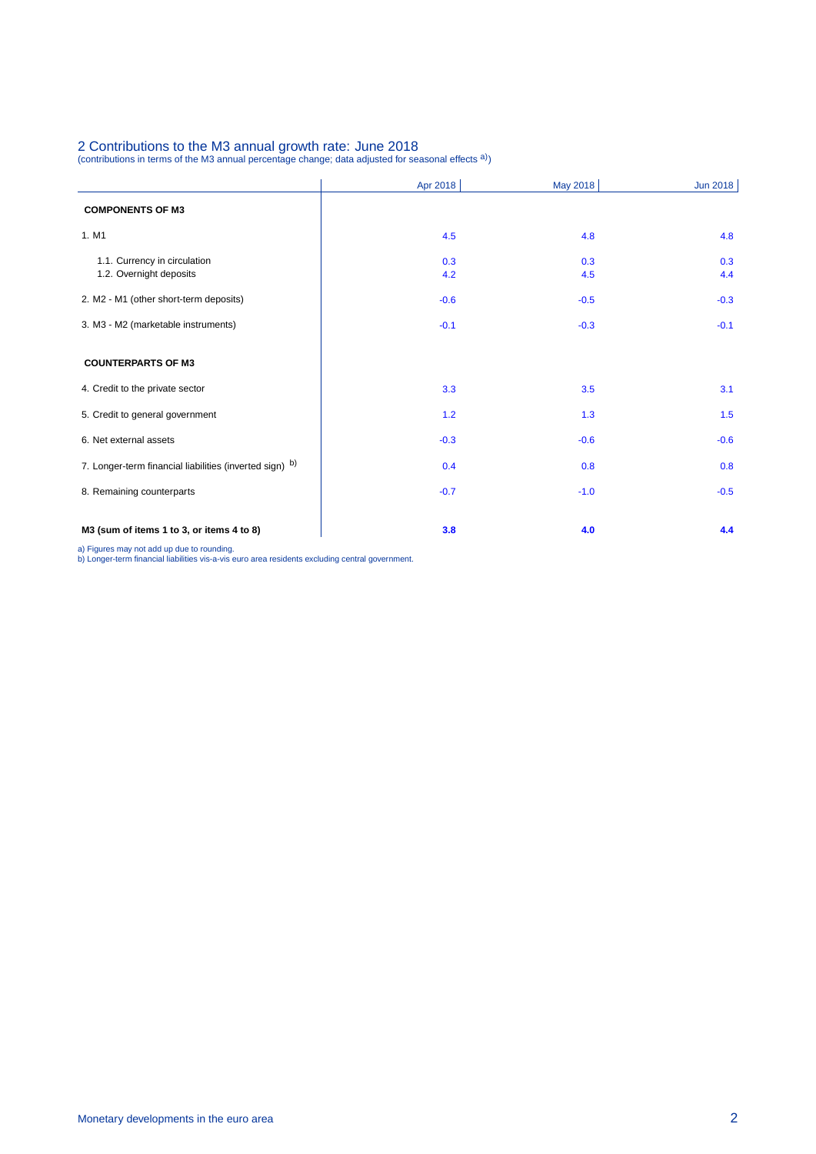# 2 Contributions to the M3 annual growth rate: June 2018<br>(contributions in terms of the M3 annual percentage change; data adjusted for seasonal effects <sup>a)</sup>)

|                                                         | Apr 2018   | May 2018   | Jun 2018   |
|---------------------------------------------------------|------------|------------|------------|
| <b>COMPONENTS OF M3</b>                                 |            |            |            |
| 1. M1                                                   | 4.5        | 4.8        | 4.8        |
| 1.1. Currency in circulation<br>1.2. Overnight deposits | 0.3<br>4.2 | 0.3<br>4.5 | 0.3<br>4.4 |
| 2. M2 - M1 (other short-term deposits)                  | $-0.6$     | $-0.5$     | $-0.3$     |
| 3. M3 - M2 (marketable instruments)                     | $-0.1$     | $-0.3$     | $-0.1$     |
| <b>COUNTERPARTS OF M3</b>                               |            |            |            |
| 4. Credit to the private sector                         | 3.3        | 3.5        | 3.1        |
| 5. Credit to general government                         | $1.2$      | 1.3        | 1.5        |
| 6. Net external assets                                  | $-0.3$     | $-0.6$     | $-0.6$     |
| 7. Longer-term financial liabilities (inverted sign) b) | 0.4        | 0.8        | 0.8        |
| 8. Remaining counterparts                               | $-0.7$     | $-1.0$     | $-0.5$     |
| M3 (sum of items 1 to 3, or items 4 to 8)               | 3.8        | 4.0        | 4.4        |

a) Figures may not add up due to rounding. b) Longer-term financial liabilities vis-a-vis euro area residents excluding central government.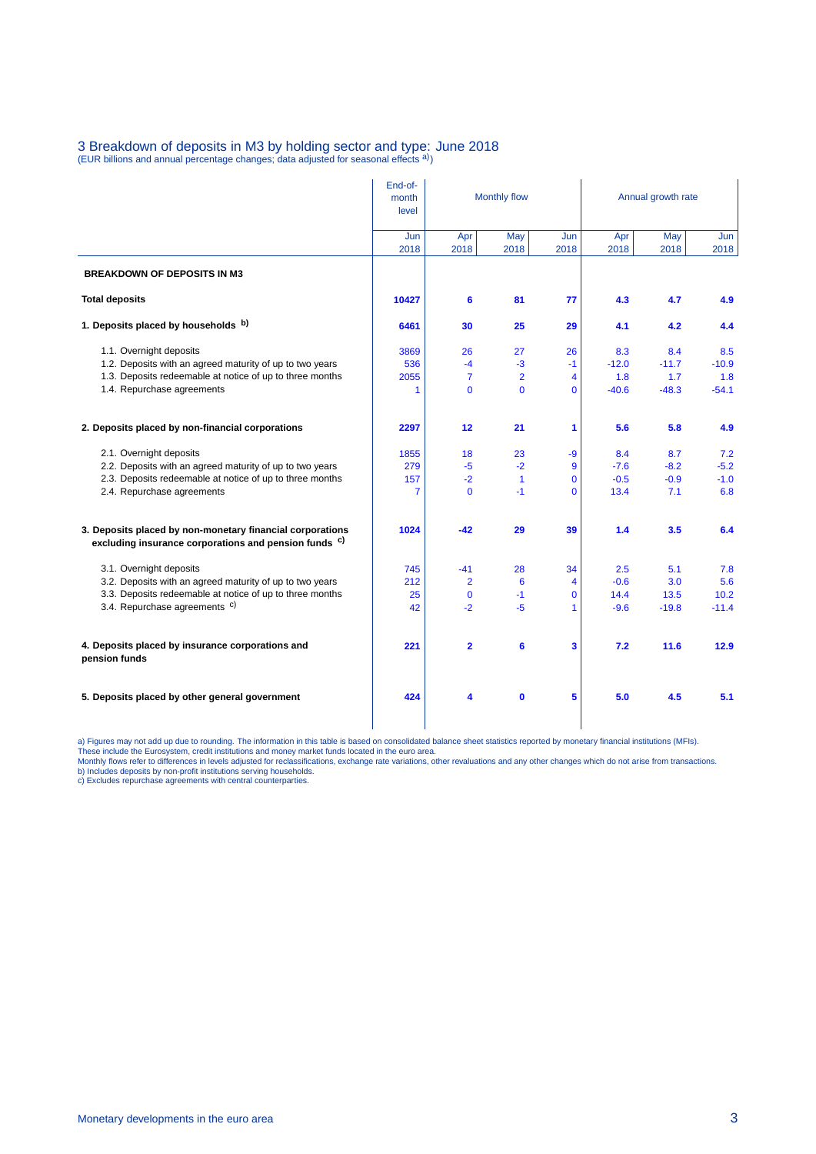# 3 Breakdown of deposits in M3 by holding sector and type: June 2018<br>(EUR billions and annual percentage changes; data adjusted for seasonal effects <sup>a)</sup>)

|                                                                                                                               | End-of-<br>month | Monthly flow            |                 |             | Annual growth rate |             |             |  |
|-------------------------------------------------------------------------------------------------------------------------------|------------------|-------------------------|-----------------|-------------|--------------------|-------------|-------------|--|
|                                                                                                                               | level            |                         |                 |             |                    |             |             |  |
|                                                                                                                               | Jun<br>2018      | Apr<br>2018             | May<br>2018     | Jun<br>2018 | Apr<br>2018        | May<br>2018 | Jun<br>2018 |  |
| <b>BREAKDOWN OF DEPOSITS IN M3</b>                                                                                            |                  |                         |                 |             |                    |             |             |  |
| <b>Total deposits</b>                                                                                                         | 10427            | 6                       | 81              | 77          | 4.3                | 4.7         | 4.9         |  |
| 1. Deposits placed by households b)                                                                                           | 6461             | 30                      | 25              | 29          | 4.1                | 4.2         | 4.4         |  |
| 1.1. Overnight deposits                                                                                                       | 3869             | 26                      | 27              | 26          | 8.3                | 8.4         | 8.5         |  |
| 1.2. Deposits with an agreed maturity of up to two years                                                                      | 536              | $-4$                    | -3              | $-1$        | $-12.0$            | $-11.7$     | $-10.9$     |  |
| 1.3. Deposits redeemable at notice of up to three months                                                                      | 2055             | $\overline{7}$          | $\overline{2}$  | 4           | 1.8                | 1.7         | 1.8         |  |
| 1.4. Repurchase agreements                                                                                                    | 1                | $\mathbf{0}$            | $\Omega$        | $\Omega$    | $-40.6$            | $-48.3$     | $-54.1$     |  |
| 2. Deposits placed by non-financial corporations                                                                              | 2297             | 12                      | 21              | 1           | 5.6                | 5.8         | 4.9         |  |
| 2.1. Overnight deposits                                                                                                       | 1855             | 18                      | 23              | $-9$        | 8.4                | 8.7         | 7.2         |  |
| 2.2. Deposits with an agreed maturity of up to two years                                                                      | 279              | -5                      | $-2$            | 9           | $-7.6$             | $-8.2$      | $-5.2$      |  |
| 2.3. Deposits redeemable at notice of up to three months                                                                      | 157              | $-2$                    | $\mathbf{1}$    | $\mathbf 0$ | $-0.5$             | $-0.9$      | $-1.0$      |  |
| 2.4. Repurchase agreements                                                                                                    | 7                | $\Omega$                | $-1$            | $\Omega$    | 13.4               | 7.1         | 6.8         |  |
| 3. Deposits placed by non-monetary financial corporations<br>excluding insurance corporations and pension funds <sup>c)</sup> | 1024             | $-42$                   | 29              | 39          | 1.4                | 3.5         | 6.4         |  |
| 3.1. Overnight deposits                                                                                                       | 745              | $-41$                   | 28              | 34          | 2.5                | 5.1         | 7.8         |  |
| 3.2. Deposits with an agreed maturity of up to two years                                                                      | 212              | $\overline{2}$          | 6               | 4           | $-0.6$             | 3.0         | 5.6         |  |
| 3.3. Deposits redeemable at notice of up to three months                                                                      | 25               | $\mathbf 0$             | $-1$            | $\mathbf 0$ | 14.4               | 13.5        | 10.2        |  |
| 3.4. Repurchase agreements <sup>c)</sup>                                                                                      | 42               | $-2$                    | $-5$            | 1           | $-9.6$             | $-19.8$     | $-11.4$     |  |
| 4. Deposits placed by insurance corporations and<br>pension funds                                                             | 221              | $\overline{\mathbf{2}}$ | $6\phantom{1}6$ | 3           | 7.2                | 11.6        | 12.9        |  |
| 5. Deposits placed by other general government                                                                                | 424              | 4                       | $\mathbf 0$     | 5           | 5.0                | 4.5         | 5.1         |  |
|                                                                                                                               |                  |                         |                 |             |                    |             |             |  |

a) Figures may not add up due to rounding. The information in this table is based on consolidated balance sheet statistics reported by monetary financial institutions (MFIs).<br>These include the Eurosystem, credit institutio